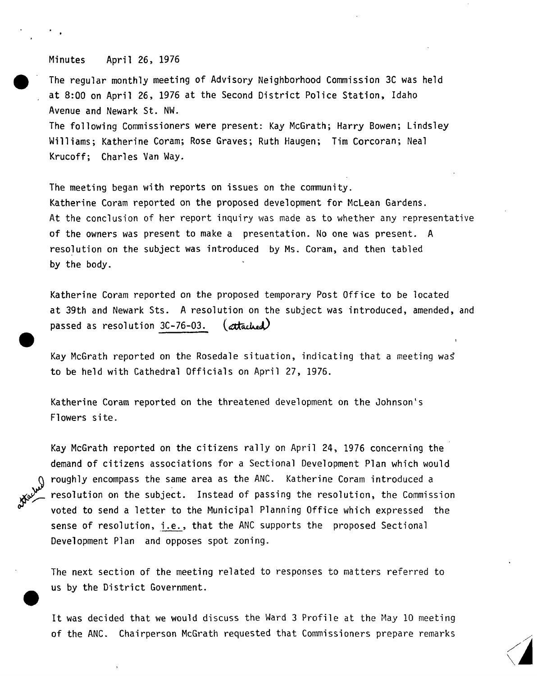## Minutes April 26, 1976

The regular monthly meeting of Advisory Neighborhood Commission 3C was held at 8:00 on April 26, 1976 at the Second District Police Station, Idaho Avenue and Newark St. NW. The following Commissioners were present: Kay McGrath; Harry Bowen; Lindsley Williams; Katherine Coram; Rose Graves; Ruth Haugen; Tim Corcoran; Neal Krucoff; Charles Van Way.

The meeting began with reports on issues on the community. Katherine Coram reported on the proposed development for McLean Gardens. At the conclusion of her report inquiry was made as to whether any representative of the owners was present to make a presentation. No one was present. <sup>A</sup> resolution on the subject was introduced by Ms. Coram, and then tabled by the body.

Katherine Coram reported on the proposed temporary Post Office to be located at 39th and Newark Sts. <sup>A</sup> resolution on the subject was introduced, amended, <sup>a</sup> passed as resolution  $3C-76-03$ . (attached)

Kay McGrath reported on the Rosedale situation, indicating that a meeting was to be held with Cathedral Officials on April 27, 1976.

Katherine Coram reported on the threatened development on the Johnson's Flowers site.

Kay McGrath reported on the citizens rally on April 24, 1976 concerning the demand of citizens associations for a Sectional Development Plan which would roughly encompass the same area as the ANC. Katherine Coram introduced a resolution on the subject. Instead of passing the resolution, the Commission voted to send <sup>a</sup> letter to the Municipal Planning Office which expressed the sense of resolution, i.e., that the ANC supports the proposed Sectional Development Plan and opposes spot zoning.

The next section of the meeting related to responses to matters referred to us by the District Government.

It was decided that we would discuss the Ward <sup>3</sup> Profile at the May <sup>10</sup> meeting of the ANC. Chairperson McGrath requested that Commissioners prepare remarks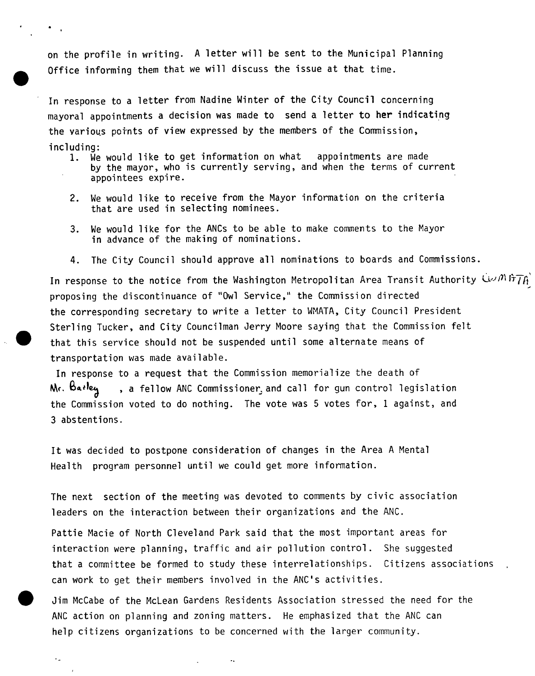on the profile in writing. <sup>A</sup> letter will be sent to the Municipal Planning Office informing them that we will discuss the issue at that time.

In response to <sup>a</sup> letter from Nadine Winter of the City Council concerning mayoral appointments <sup>a</sup> decision was made to send a letter to her indicating the various points of view expressed by the members of the Commission, including:<br>1. We

- We would like to get information on what appointments are made by the mayor, who is currently serving, and when the terms of current appointees expire.
- 2. We would like to receive from the Mayor information on the criteria that are used in selecting nominees.
- 3. We would like for the ANCs to be able to make comments to the Mayor in advance of the making of nominations.
- 4. The City Council should approve all nominations to boards and Commissions.

In response to the notice from the Washington Metropolitan Area Transit Authority  $C_{\mathcal{V}}(N)$  fr $\mathcal{T}A$ proposing the discontinuance of "Owl Service," the Commission directed the corresponding secretary to write <sup>a</sup> letter to WMATA, City Council President Sterling Tucker, and City Councilman Jerry Moore saying that the Commission felt that this service should not be suspended until some alternate means of transportation was made available.

In response to a request that the Commission memorialize the death of  $\mathsf{M}_f$ .  $\mathsf{B}_4$ ,  $\mathsf{A}_6$  , a fellow ANC Commissioner, and call for gun control legislation the Commission voted to do nothing. The vote was <sup>5</sup> votes for, <sup>1</sup> against, and <sup>3</sup> abstentions.

It was decided to postpone consideration of changes in the Area <sup>A</sup> Mental Health program personnel until we could get more information.

The next section of the meeting was devoted to comments by civic association leaders on the interaction between their organizations and the ANC.

Pattie Macie of North Cleveland Park said that the most important areas for interaction were planning, traffic and air pollution control. She suggested that <sup>a</sup> committee be formed to study these interrelationships. Citizens associations can work to get their members involved in the ANC's activities.

Jim McCabe of the McLean Gardens Residents Association stressed the need for the ANC action on planning and zoning matters. He emphasized that the ANC can help citizens organizations to be concerned with the larger community.

 $\ddot{\phantom{a}}$ 

 $\ddot{\phantom{0}}$